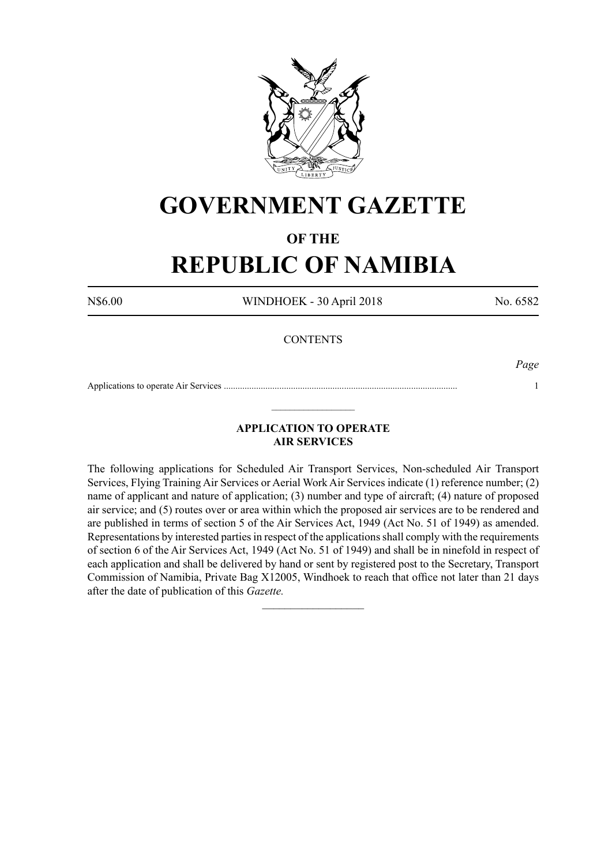

# **GOVERNMENT GAZETTE**

# **OF THE**

# **REPUBLIC OF NAMIBIA**

N\$6.00 WINDHOEK - 30 April 2018 No. 6582

# **CONTENTS**

*Page*

Applications to operate Air Services ..................................................................................................... 1  $\_$ 

# **APPLICATION TO OPERATE AIR SERVICES**

The following applications for Scheduled Air Transport Services, Non-scheduled Air Transport Services, Flying Training Air Services or Aerial Work Air Services indicate (1) reference number; (2) name of applicant and nature of application; (3) number and type of aircraft; (4) nature of proposed air service; and (5) routes over or area within which the proposed air services are to be rendered and are published in terms of section 5 of the Air Services Act, 1949 (Act No. 51 of 1949) as amended. Representations by interested parties in respect of the applications shall comply with the requirements of section 6 of the Air Services Act, 1949 (Act No. 51 of 1949) and shall be in ninefold in respect of each application and shall be delivered by hand or sent by registered post to the Secretary, Transport Commission of Namibia, Private Bag X12005, Windhoek to reach that office not later than 21 days after the date of publication of this *Gazette.*

 $\frac{1}{2}$  ,  $\frac{1}{2}$  ,  $\frac{1}{2}$  ,  $\frac{1}{2}$  ,  $\frac{1}{2}$  ,  $\frac{1}{2}$  ,  $\frac{1}{2}$  ,  $\frac{1}{2}$  ,  $\frac{1}{2}$  ,  $\frac{1}{2}$  ,  $\frac{1}{2}$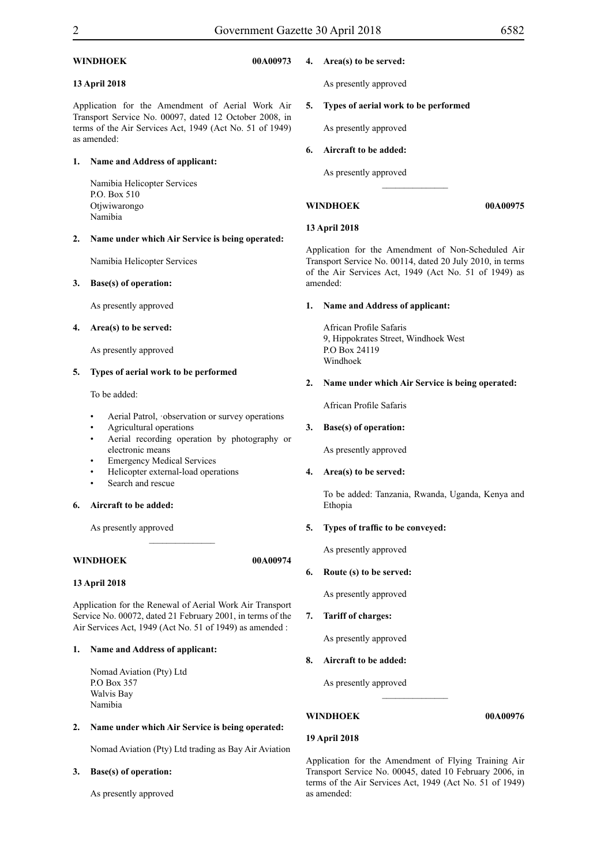# **WINDHOEK 00A00973**

# **13 April 2018**

Application for the Amendment of Aerial Work Air Transport Service No. 00097, dated 12 October 2008, in terms of the Air Services Act, 1949 (Act No. 51 of 1949) as amended:

#### **1. Name and Address of applicant:**

Namibia Helicopter Services P.O. Box 510 Otjwiwarongo Namibia

#### **2. Name under which Air Service is being operated:**

Namibia Helicopter Services

#### **3. Base(s) of operation:**

As presently approved

#### **4. Area(s) to be served:**

As presently approved

#### **5. Types of aerial work to be performed**

To be added:

- Aerial Patrol, observation or survey operations
- Agricultural operations
- Aerial recording operation by photography or electronic means
- Emergency Medical Services
- Helicopter external-load operations
- Search and rescue

# **6. Aircraft to be added:**

As presently approved

# **WINDHOEK 00A00974**

#### **13 April 2018**

Application for the Renewal of Aerial Work Air Transport Service No. 00072, dated 21 February 2001, in terms of the Air Services Act, 1949 (Act No. 51 of 1949) as amended :

 $\frac{1}{2}$ 

#### **1. Name and Address of applicant:**

Nomad Aviation (Pty) Ltd P.O Box 357 Walvis Bay Namibia

#### **2. Name under which Air Service is being operated:**

Nomad Aviation (Pty) Ltd trading as Bay Air Aviation

#### **3. Base(s) of operation:**

As presently approved

#### **4. Area(s) to be served:**

As presently approved

## **5. Types of aerial work to be performed**

As presently approved

#### **6. Aircraft to be added:**

As presently approved

**WINDHOEK 00A00975** 

### **13 April 2018**

Application for the Amendment of Non-Scheduled Air Transport Service No. 00114, dated 20 July 2010, in terms of the Air Services Act, 1949 (Act No. 51 of 1949) as amended:

 $\overline{\phantom{a}}$  ,  $\overline{\phantom{a}}$  ,  $\overline{\phantom{a}}$  ,  $\overline{\phantom{a}}$  ,  $\overline{\phantom{a}}$  ,  $\overline{\phantom{a}}$  ,  $\overline{\phantom{a}}$  ,  $\overline{\phantom{a}}$  ,  $\overline{\phantom{a}}$  ,  $\overline{\phantom{a}}$  ,  $\overline{\phantom{a}}$  ,  $\overline{\phantom{a}}$  ,  $\overline{\phantom{a}}$  ,  $\overline{\phantom{a}}$  ,  $\overline{\phantom{a}}$  ,  $\overline{\phantom{a}}$ 

#### **1. Name and Address of applicant:**

African Profile Safaris 9, Hippokrates Street, Windhoek West P.O Box 24119 Windhoek

#### **2. Name under which Air Service is being operated:**

African Profile Safaris

#### **3. Base(s) of operation:**

As presently approved

#### **4. Area(s) to be served:**

To be added: Tanzania, Rwanda, Uganda, Kenya and Ethopia

# **5. Types of traffic to be conveyed:**

As presently approved

#### **6. Route (s) to be served:**

As presently approved

**7. Tariff of charges:**

As presently approved

**8. Aircraft to be added:**

As presently approved

# **WINDHOEK 00A00976**

## **19 April 2018**

Application for the Amendment of Flying Training Air Transport Service No. 00045, dated 10 February 2006, in terms of the Air Services Act, 1949 (Act No. 51 of 1949) as amended:

 $\frac{1}{2}$